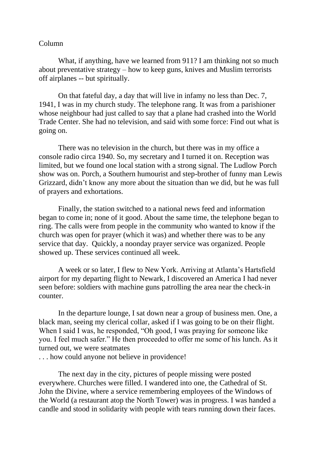## Column

What, if anything, have we learned from 911? I am thinking not so much about preventative strategy – how to keep guns, knives and Muslim terrorists off airplanes -- but spiritually.

On that fateful day, a day that will live in infamy no less than Dec. 7, 1941, I was in my church study. The telephone rang. It was from a parishioner whose neighbour had just called to say that a plane had crashed into the World Trade Center. She had no television, and said with some force: Find out what is going on.

There was no television in the church, but there was in my office a console radio circa 1940. So, my secretary and I turned it on. Reception was limited, but we found one local station with a strong signal. The Ludlow Porch show was on. Porch, a Southern humourist and step-brother of funny man Lewis Grizzard, didn't know any more about the situation than we did, but he was full of prayers and exhortations.

Finally, the station switched to a national news feed and information began to come in; none of it good. About the same time, the telephone began to ring. The calls were from people in the community who wanted to know if the church was open for prayer (which it was) and whether there was to be any service that day. Quickly, a noonday prayer service was organized. People showed up. These services continued all week.

A week or so later, I flew to New York. Arriving at Atlanta's Hartsfield airport for my departing flight to Newark, I discovered an America I had never seen before: soldiers with machine guns patrolling the area near the check-in counter.

In the departure lounge, I sat down near a group of business men. One, a black man, seeing my clerical collar, asked if I was going to be on their flight. When I said I was, he responded, "Oh good, I was praying for someone like you. I feel much safer." He then proceeded to offer me some of his lunch. As it turned out, we were seatmates

. . . how could anyone not believe in providence!

The next day in the city, pictures of people missing were posted everywhere. Churches were filled. I wandered into one, the Cathedral of St. John the Divine, where a service remembering employees of the Windows of the World (a restaurant atop the North Tower) was in progress. I was handed a candle and stood in solidarity with people with tears running down their faces.